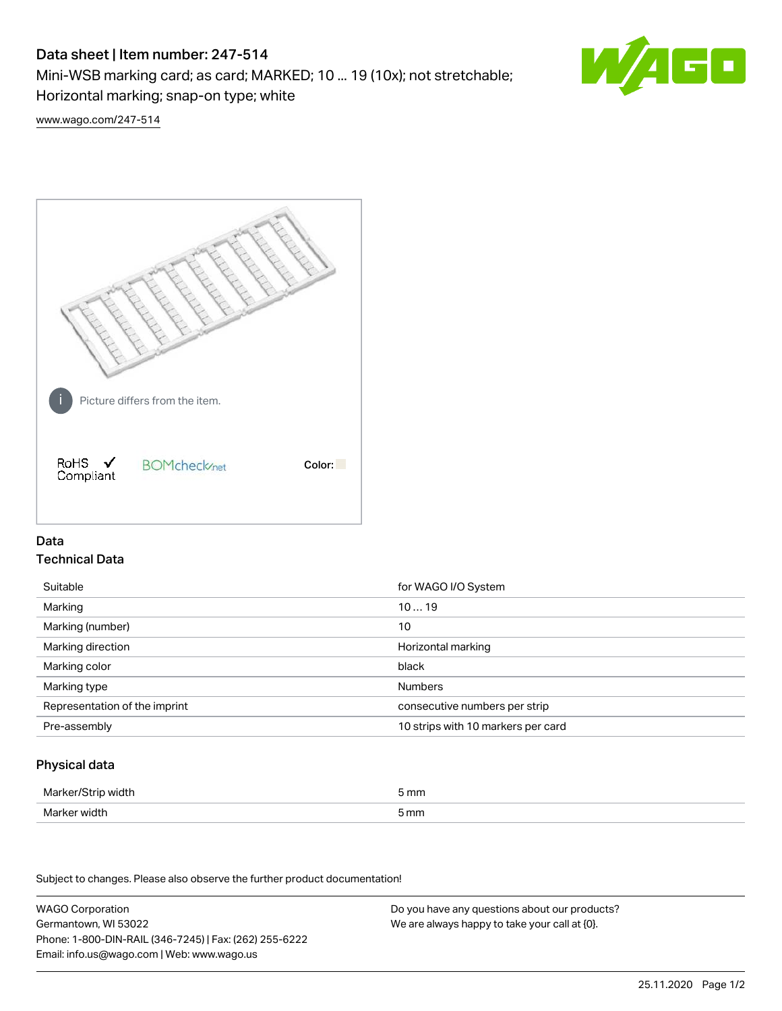# Data sheet | Item number: 247-514

Mini-WSB marking card; as card; MARKED; 10 ... 19 (10x); not stretchable;

Horizontal marking; snap-on type; white

60

[www.wago.com/247-514](http://www.wago.com/247-514)



## Data Technical Data

| Suitable                      | for WAGO I/O System                |
|-------------------------------|------------------------------------|
| Marking                       | 1019                               |
| Marking (number)              | 10                                 |
| Marking direction             | Horizontal marking                 |
| Marking color                 | black                              |
| Marking type                  | <b>Numbers</b>                     |
| Representation of the imprint | consecutive numbers per strip      |
| Pre-assembly                  | 10 strips with 10 markers per card |

## Physical data

| Marker/Strip width | i mm |
|--------------------|------|
| Marker width       | 5 mm |
| $ -$               |      |

Subject to changes. Please also observe the further product documentation!

WAGO Corporation Germantown, WI 53022 Phone: 1-800-DIN-RAIL (346-7245) | Fax: (262) 255-6222 Email: info.us@wago.com | Web: www.wago.us Do you have any questions about our products? We are always happy to take your call at {0}.